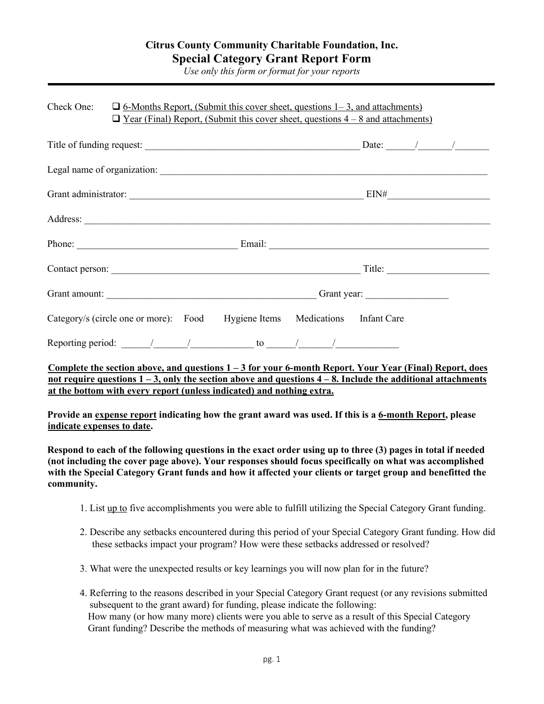*Use only this form or format for your reports*

|  | Check One: $\Box$ 6-Months Report, (Submit this cover sheet, questions 1–3, and attachments)<br>$\Box$ Year (Final) Report, (Submit this cover sheet, questions $4-8$ and attachments) |  |                                                                             |  |  |  |  |
|--|----------------------------------------------------------------------------------------------------------------------------------------------------------------------------------------|--|-----------------------------------------------------------------------------|--|--|--|--|
|  |                                                                                                                                                                                        |  |                                                                             |  |  |  |  |
|  |                                                                                                                                                                                        |  |                                                                             |  |  |  |  |
|  |                                                                                                                                                                                        |  |                                                                             |  |  |  |  |
|  |                                                                                                                                                                                        |  |                                                                             |  |  |  |  |
|  |                                                                                                                                                                                        |  |                                                                             |  |  |  |  |
|  |                                                                                                                                                                                        |  |                                                                             |  |  |  |  |
|  |                                                                                                                                                                                        |  |                                                                             |  |  |  |  |
|  |                                                                                                                                                                                        |  | Category/s (circle one or more): Food Hygiene Items Medications Infant Care |  |  |  |  |
|  |                                                                                                                                                                                        |  |                                                                             |  |  |  |  |

**Complete the section above, and questions 1 – 3 for your 6-month Report. Your Year (Final) Report, does not require questions 1 – 3, only the section above and questions 4 – 8. Include the additional attachments at the bottom with every report (unless indicated) and nothing extra.**

**Provide an expense report indicating how the grant award was used. If this is a 6-month Report, please indicate expenses to date.** 

**Respond to each of the following questions in the exact order using up to three (3) pages in total if needed (not including the cover page above). Your responses should focus specifically on what was accomplished with the Special Category Grant funds and how it affected your clients or target group and benefitted the community.** 

- 1. List up to five accomplishments you were able to fulfill utilizing the Special Category Grant funding.
- 2. Describe any setbacks encountered during this period of your Special Category Grant funding. How did these setbacks impact your program? How were these setbacks addressed or resolved?
- 3. What were the unexpected results or key learnings you will now plan for in the future?
- 4. Referring to the reasons described in your Special Category Grant request (or any revisions submitted subsequent to the grant award) for funding, please indicate the following: How many (or how many more) clients were you able to serve as a result of this Special Category Grant funding? Describe the methods of measuring what was achieved with the funding?